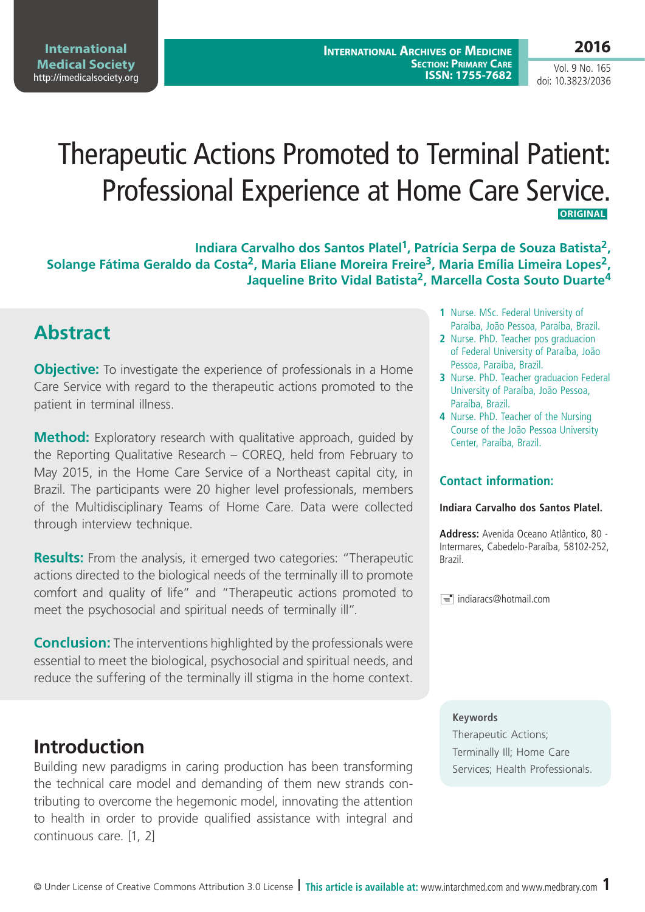Vol. 9 No. 165 doi: 10.3823/2036

# Therapeutic Actions Promoted to Terminal Patient: Professional Experience at Home Care Service.  **ORIGINAL**

**Indiara Carvalho dos Santos Platel1, Patrícia Serpa de Souza Batista2,**  Solange Fátima Geraldo da Costa<sup>2</sup>, Maria Eliane Moreira Freire<sup>3</sup>, Maria Emília Limeira Lopes<sup>2</sup>, **Jaqueline Brito Vidal Batista2, Marcella Costa Souto Duarte4**

# **Abstract**

**Objective:** To investigate the experience of professionals in a Home Care Service with regard to the therapeutic actions promoted to the patient in terminal illness.

**Method:** Exploratory research with qualitative approach, guided by the Reporting Qualitative Research – COREQ, held from February to May 2015, in the Home Care Service of a Northeast capital city, in Brazil. The participants were 20 higher level professionals, members of the Multidisciplinary Teams of Home Care. Data were collected through interview technique.

**Results:** From the analysis, it emerged two categories: "Therapeutic actions directed to the biological needs of the terminally ill to promote comfort and quality of life" and "Therapeutic actions promoted to meet the psychosocial and spiritual needs of terminally ill".

**Conclusion:** The interventions highlighted by the professionals were essential to meet the biological, psychosocial and spiritual needs, and reduce the suffering of the terminally ill stigma in the home context.

## **Introduction**

Building new paradigms in caring production has been transforming the technical care model and demanding of them new strands contributing to overcome the hegemonic model, innovating the attention to health in order to provide qualified assistance with integral and continuous care. [1, 2]

- **1** Nurse. MSc. Federal University of Paraíba, João Pessoa, Paraíba, Brazil.
- **2** Nurse. PhD. Teacher pos graduacion of Federal University of Paraíba, João Pessoa, Paraíba, Brazil.
- **3** Nurse. PhD. Teacher graduacion Federal University of Paraíba, João Pessoa, Paraíba, Brazil.
- **4** Nurse. PhD. Teacher of the Nursing Course of the João Pessoa University Center, Paraíba, Brazil.

### **Contact information:**

#### **Indiara Carvalho dos Santos Platel.**

**Address:** Avenida Oceano Atlântico, 80 - Intermares, Cabedelo-Paraíba, 58102-252, Brazil.

 $\equiv$  indiaracs@hotmail.com

#### **Keywords**

Therapeutic Actions; Terminally Ill; Home Care Services; Health Professionals.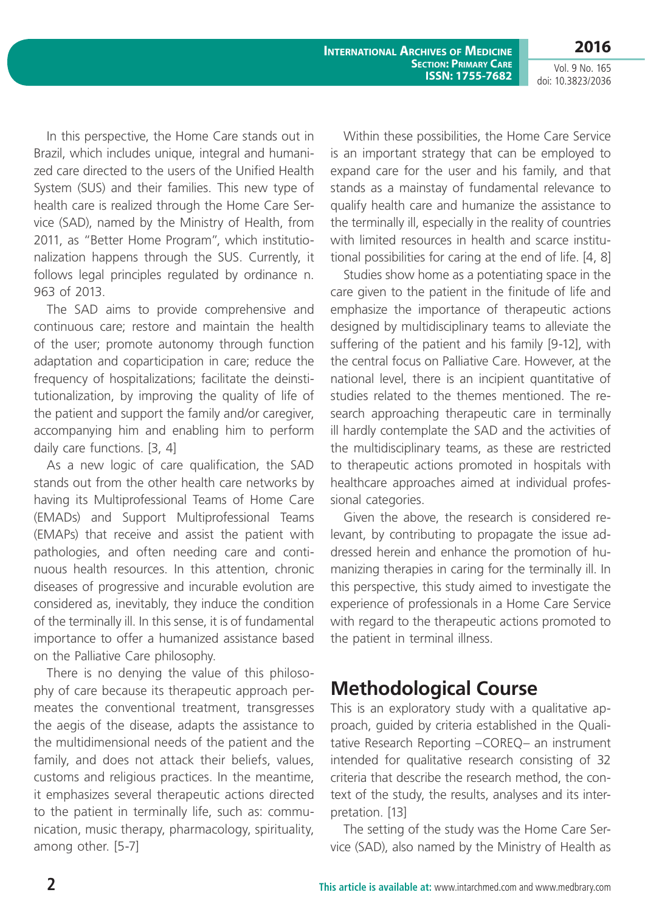**International Archives of Medicine Section: Primary Care ISSN: 1755-7682**

Vol. 9 No. 165 doi: 10.3823/2036

**2016**

In this perspective, the Home Care stands out in Brazil, which includes unique, integral and humanized care directed to the users of the Unified Health System (SUS) and their families. This new type of health care is realized through the Home Care Service (SAD), named by the Ministry of Health, from 2011, as "Better Home Program", which institutionalization happens through the SUS. Currently, it follows legal principles regulated by ordinance n. 963 of 2013.

The SAD aims to provide comprehensive and continuous care; restore and maintain the health of the user; promote autonomy through function adaptation and coparticipation in care; reduce the frequency of hospitalizations; facilitate the deinstitutionalization, by improving the quality of life of the patient and support the family and/or caregiver, accompanying him and enabling him to perform daily care functions. [3, 4]

As a new logic of care qualification, the SAD stands out from the other health care networks by having its Multiprofessional Teams of Home Care (EMADs) and Support Multiprofessional Teams (EMAPs) that receive and assist the patient with pathologies, and often needing care and continuous health resources. In this attention, chronic diseases of progressive and incurable evolution are considered as, inevitably, they induce the condition of the terminally ill. In this sense, it is of fundamental importance to offer a humanized assistance based on the Palliative Care philosophy.

There is no denying the value of this philosophy of care because its therapeutic approach permeates the conventional treatment, transgresses the aegis of the disease, adapts the assistance to the multidimensional needs of the patient and the family, and does not attack their beliefs, values, customs and religious practices. In the meantime, it emphasizes several therapeutic actions directed to the patient in terminally life, such as: communication, music therapy, pharmacology, spirituality, among other. [5-7]

Within these possibilities, the Home Care Service is an important strategy that can be employed to expand care for the user and his family, and that stands as a mainstay of fundamental relevance to qualify health care and humanize the assistance to the terminally ill, especially in the reality of countries with limited resources in health and scarce institutional possibilities for caring at the end of life. [4, 8]

Studies show home as a potentiating space in the care given to the patient in the finitude of life and emphasize the importance of therapeutic actions designed by multidisciplinary teams to alleviate the suffering of the patient and his family [9-12], with the central focus on Palliative Care. However, at the national level, there is an incipient quantitative of studies related to the themes mentioned. The research approaching therapeutic care in terminally ill hardly contemplate the SAD and the activities of the multidisciplinary teams, as these are restricted to therapeutic actions promoted in hospitals with healthcare approaches aimed at individual professional categories.

Given the above, the research is considered relevant, by contributing to propagate the issue addressed herein and enhance the promotion of humanizing therapies in caring for the terminally ill. In this perspective, this study aimed to investigate the experience of professionals in a Home Care Service with regard to the therapeutic actions promoted to the patient in terminal illness.

# **Methodological Course**

This is an exploratory study with a qualitative approach, guided by criteria established in the Qualitative Research Reporting –COREQ– an instrument intended for qualitative research consisting of 32 criteria that describe the research method, the context of the study, the results, analyses and its interpretation. [13]

The setting of the study was the Home Care Service (SAD), also named by the Ministry of Health as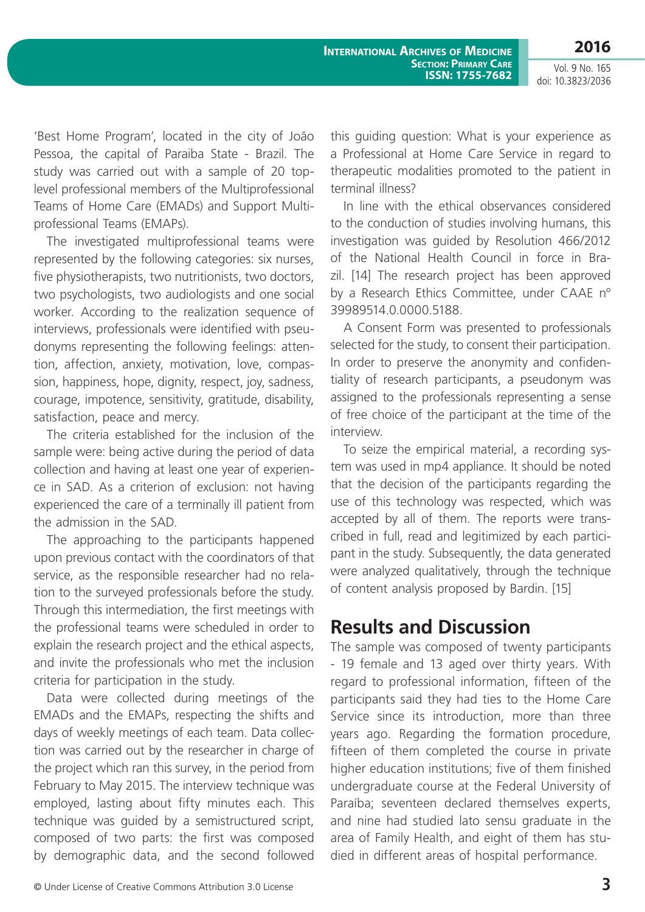Vol. 9 No. 165 doi: 10.3823/2036

'Best Home Program', located in the city of João Pessoa, the capital of Paraiba State - Brazil. The study was carried out with a sample of 20 toplevel professional members of the Multiprofessional Teams of Home Care (EMADs) and Support Multiprofessional Teams (EMAPs).

The investigated multiprofessional teams were represented by the following categories: six nurses, five physiotherapists, two nutritionists, two doctors, two psychologists, two audiologists and one social worker. According to the realization sequence of interviews, professionals were identified with pseudonyms representing the following feelings: attention, affection, anxiety, motivation, love, compassion, happiness, hope, dignity, respect, joy, sadness, courage, impotence, sensitivity, gratitude, disability, satisfaction, peace and mercy.

The criteria established for the inclusion of the sample were: being active during the period of data collection and having at least one year of experience in SAD. As a criterion of exclusion: not having experienced the care of a terminally ill patient from the admission in the SAD.

The approaching to the participants happened upon previous contact with the coordinators of that service, as the responsible researcher had no relation to the surveyed professionals before the study. Through this intermediation, the first meetings with the professional teams were scheduled in order to explain the research project and the ethical aspects, and invite the professionals who met the inclusion criteria for participation in the study.

Data were collected during meetings of the EMADs and the EMAPs, respecting the shifts and days of weekly meetings of each team. Data collection was carried out by the researcher in charge of the project which ran this survey, in the period from February to May 2015. The interview technique was employed, lasting about fifty minutes each. This technique was guided by a semistructured script, composed of two parts: the first was composed by demographic data, and the second followed this guiding question: What is your experience as a Professional at Home Care Service in regard to therapeutic modalities promoted to the patient in terminal illness?

In line with the ethical observances considered to the conduction of studies involving humans, this investigation was guided by Resolution 466/2012 of the National Health Council in force in Brazil. [14] The research project has been approved by a Research Ethics Committee, under CAAE n° 39989514.0.0000.5188.

A Consent Form was presented to professionals selected for the study, to consent their participation. In order to preserve the anonymity and confidentiality of research participants, a pseudonym was assigned to the professionals representing a sense of free choice of the participant at the time of the interview.

To seize the empirical material, a recording system was used in mp4 appliance. It should be noted that the decision of the participants regarding the use of this technology was respected, which was accepted by all of them. The reports were transcribed in full, read and legitimized by each participant in the study. Subsequently, the data generated were analyzed qualitatively, through the technique of content analysis proposed by Bardin. [15]

## **Results and Discussion**

The sample was composed of twenty participants - 19 female and 13 aged over thirty years. With regard to professional information, fifteen of the participants said they had ties to the Home Care Service since its introduction, more than three years ago. Regarding the formation procedure, fifteen of them completed the course in private higher education institutions; five of them finished undergraduate course at the Federal University of Paraíba; seventeen declared themselves experts, and nine had studied lato sensu graduate in the area of Family Health, and eight of them has studied in different areas of hospital performance.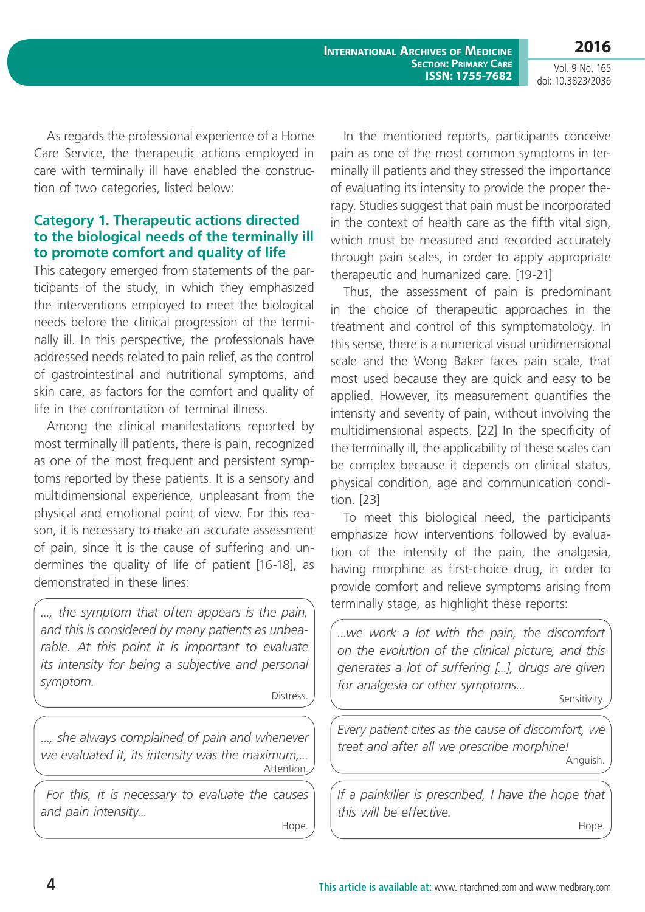**International Archives of Medicine Section: Primary Care ISSN: 1755-7682**

Vol. 9 No. 165 doi: 10.3823/2036

**2016**

As regards the professional experience of a Home Care Service, the therapeutic actions employed in care with terminally ill have enabled the construction of two categories, listed below:

### **Category 1. Therapeutic actions directed to the biological needs of the terminally ill to promote comfort and quality of life**

This category emerged from statements of the participants of the study, in which they emphasized the interventions employed to meet the biological needs before the clinical progression of the terminally ill. In this perspective, the professionals have addressed needs related to pain relief, as the control of gastrointestinal and nutritional symptoms, and skin care, as factors for the comfort and quality of life in the confrontation of terminal illness.

Among the clinical manifestations reported by most terminally ill patients, there is pain, recognized as one of the most frequent and persistent symptoms reported by these patients. It is a sensory and multidimensional experience, unpleasant from the physical and emotional point of view. For this reason, it is necessary to make an accurate assessment of pain, since it is the cause of suffering and undermines the quality of life of patient [16-18], as demonstrated in these lines:

*..., the symptom that often appears is the pain, and this is considered by many patients as unbearable. At this point it is important to evaluate its intensity for being a subjective and personal symptom.* 

Distress.

*..., she always complained of pain and whenever we evaluated it, its intensity was the maximum,...* Attention.

 *For this, it is necessary to evaluate the causes and pain intensity...*

Hope.

In the mentioned reports, participants conceive pain as one of the most common symptoms in terminally ill patients and they stressed the importance of evaluating its intensity to provide the proper therapy. Studies suggest that pain must be incorporated in the context of health care as the fifth vital sign, which must be measured and recorded accurately through pain scales, in order to apply appropriate therapeutic and humanized care. [19-21]

Thus, the assessment of pain is predominant in the choice of therapeutic approaches in the treatment and control of this symptomatology. In this sense, there is a numerical visual unidimensional scale and the Wong Baker faces pain scale, that most used because they are quick and easy to be applied. However, its measurement quantifies the intensity and severity of pain, without involving the multidimensional aspects. [22] In the specificity of the terminally ill, the applicability of these scales can be complex because it depends on clinical status, physical condition, age and communication condition. [23]

To meet this biological need, the participants emphasize how interventions followed by evaluation of the intensity of the pain, the analgesia, having morphine as first-choice drug, in order to provide comfort and relieve symptoms arising from terminally stage, as highlight these reports:

*...we work a lot with the pain, the discomfort on the evolution of the clinical picture, and this generates a lot of suffering [...], drugs are given for analgesia or other symptoms...* 

Sensitivity.

*Every patient cites as the cause of discomfort, we treat and after all we prescribe morphine!* Anguish.

*If a painkiller is prescribed, I have the hope that this will be effective.*

Hope.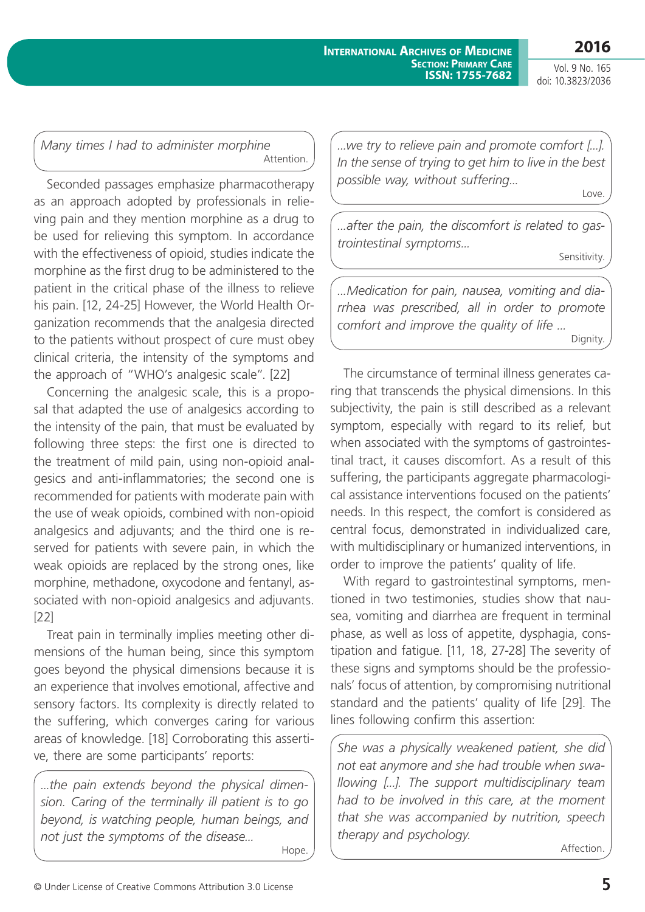Vol. 9 No. 165 doi: 10.3823/2036

### *Many times I had to administer morphine*  Attention.

Seconded passages emphasize pharmacotherapy as an approach adopted by professionals in relieving pain and they mention morphine as a drug to be used for relieving this symptom. In accordance with the effectiveness of opioid, studies indicate the morphine as the first drug to be administered to the patient in the critical phase of the illness to relieve his pain. [12, 24-25] However, the World Health Organization recommends that the analgesia directed to the patients without prospect of cure must obey clinical criteria, the intensity of the symptoms and the approach of "WHO's analgesic scale". [22]

Concerning the analgesic scale, this is a proposal that adapted the use of analgesics according to the intensity of the pain, that must be evaluated by following three steps: the first one is directed to the treatment of mild pain, using non-opioid analgesics and anti-inflammatories; the second one is recommended for patients with moderate pain with the use of weak opioids, combined with non-opioid analgesics and adjuvants; and the third one is reserved for patients with severe pain, in which the weak opioids are replaced by the strong ones, like morphine, methadone, oxycodone and fentanyl, associated with non-opioid analgesics and adjuvants. [22]

Treat pain in terminally implies meeting other dimensions of the human being, since this symptom goes beyond the physical dimensions because it is an experience that involves emotional, affective and sensory factors. Its complexity is directly related to the suffering, which converges caring for various areas of knowledge. [18] Corroborating this assertive, there are some participants' reports:

*...the pain extends beyond the physical dimension. Caring of the terminally ill patient is to go beyond, is watching people, human beings, and not just the symptoms of the disease...*

*...we try to relieve pain and promote comfort [...]. In the sense of trying to get him to live in the best possible way, without suffering...* Love.

*...after the pain, the discomfort is related to gastrointestinal symptoms...*

Sensitivity.

*...Medication for pain, nausea, vomiting and diarrhea was prescribed, all in order to promote comfort and improve the quality of life ...* Dignity.

The circumstance of terminal illness generates caring that transcends the physical dimensions. In this subjectivity, the pain is still described as a relevant symptom, especially with regard to its relief, but when associated with the symptoms of gastrointestinal tract, it causes discomfort. As a result of this suffering, the participants aggregate pharmacological assistance interventions focused on the patients' needs. In this respect, the comfort is considered as central focus, demonstrated in individualized care, with multidisciplinary or humanized interventions, in order to improve the patients' quality of life.

With regard to gastrointestinal symptoms, mentioned in two testimonies, studies show that nausea, vomiting and diarrhea are frequent in terminal phase, as well as loss of appetite, dysphagia, constipation and fatigue. [11, 18, 27-28] The severity of these signs and symptoms should be the professionals' focus of attention, by compromising nutritional standard and the patients' quality of life [29]. The lines following confirm this assertion:

*She was a physically weakened patient, she did not eat anymore and she had trouble when swallowing [...]. The support multidisciplinary team had to be involved in this care, at the moment that she was accompanied by nutrition, speech therapy and psychology.* 

Affection.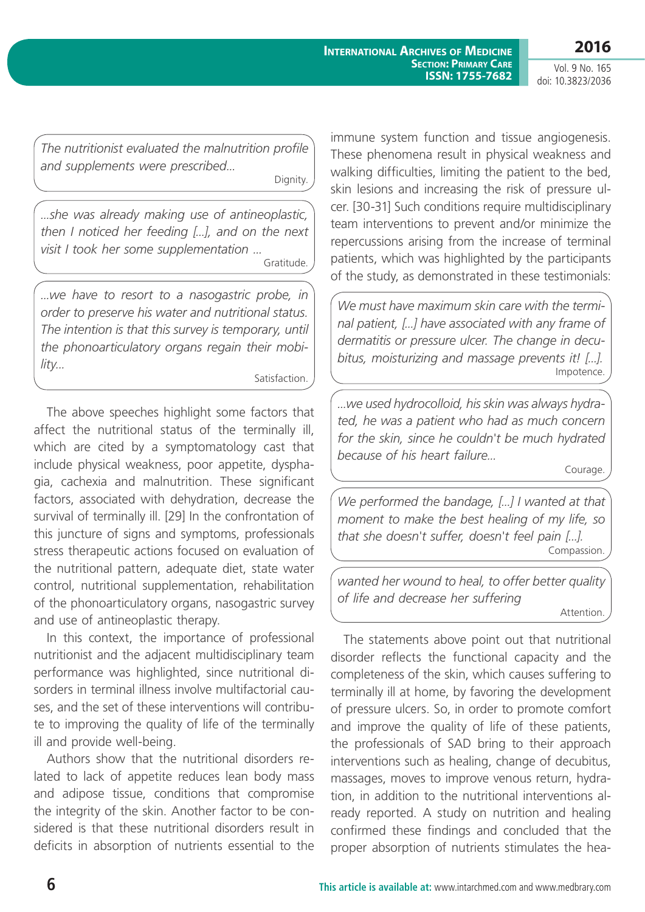Vol. 9 No. 165 doi: 10.3823/2036

*The nutritionist evaluated the malnutrition profile and supplements were prescribed...*

Dignity.

*...she was already making use of antineoplastic, then I noticed her feeding [...], and on the next visit I took her some supplementation ...*

Gratitude.

*...we have to resort to a nasogastric probe, in order to preserve his water and nutritional status. The intention is that this survey is temporary, until the phonoarticulatory organs regain their mobility...*

Satisfaction.

The above speeches highlight some factors that affect the nutritional status of the terminally ill, which are cited by a symptomatology cast that include physical weakness, poor appetite, dysphagia, cachexia and malnutrition. These significant factors, associated with dehydration, decrease the survival of terminally ill. [29] In the confrontation of this juncture of signs and symptoms, professionals stress therapeutic actions focused on evaluation of the nutritional pattern, adequate diet, state water control, nutritional supplementation, rehabilitation of the phonoarticulatory organs, nasogastric survey and use of antineoplastic therapy.

In this context, the importance of professional nutritionist and the adjacent multidisciplinary team performance was highlighted, since nutritional disorders in terminal illness involve multifactorial causes, and the set of these interventions will contribute to improving the quality of life of the terminally ill and provide well-being.

Authors show that the nutritional disorders related to lack of appetite reduces lean body mass and adipose tissue, conditions that compromise the integrity of the skin. Another factor to be considered is that these nutritional disorders result in deficits in absorption of nutrients essential to the

immune system function and tissue angiogenesis. These phenomena result in physical weakness and walking difficulties, limiting the patient to the bed, skin lesions and increasing the risk of pressure ulcer. [30-31] Such conditions require multidisciplinary team interventions to prevent and/or minimize the repercussions arising from the increase of terminal patients, which was highlighted by the participants of the study, as demonstrated in these testimonials:

*We must have maximum skin care with the terminal patient, [...] have associated with any frame of dermatitis or pressure ulcer. The change in decubitus, moisturizing and massage prevents it! [...].*  Impotence.

*...we used hydrocolloid, his skin was always hydrated, he was a patient who had as much concern for the skin, since he couldn't be much hydrated because of his heart failure...* 

Courage.

*We performed the bandage, [...] I wanted at that moment to make the best healing of my life, so that she doesn't suffer, doesn't feel pain [...].*  Compassion.

*wanted her wound to heal, to offer better quality of life and decrease her suffering*  Attention.

The statements above point out that nutritional disorder reflects the functional capacity and the completeness of the skin, which causes suffering to terminally ill at home, by favoring the development of pressure ulcers. So, in order to promote comfort and improve the quality of life of these patients, the professionals of SAD bring to their approach interventions such as healing, change of decubitus, massages, moves to improve venous return, hydration, in addition to the nutritional interventions already reported. A study on nutrition and healing confirmed these findings and concluded that the proper absorption of nutrients stimulates the hea-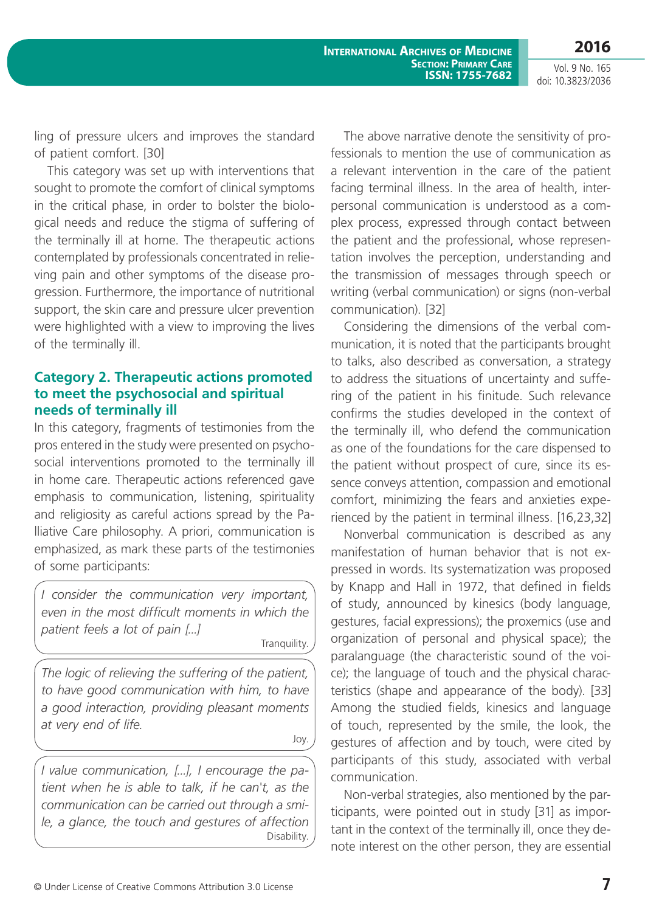Vol. 9 No. 165 doi: 10.3823/2036

**2016**

ling of pressure ulcers and improves the standard of patient comfort. [30]

This category was set up with interventions that sought to promote the comfort of clinical symptoms in the critical phase, in order to bolster the biological needs and reduce the stigma of suffering of the terminally ill at home. The therapeutic actions contemplated by professionals concentrated in relieving pain and other symptoms of the disease progression. Furthermore, the importance of nutritional support, the skin care and pressure ulcer prevention were highlighted with a view to improving the lives of the terminally ill.

### **Category 2. Therapeutic actions promoted to meet the psychosocial and spiritual needs of terminally ill**

In this category, fragments of testimonies from the pros entered in the study were presented on psychosocial interventions promoted to the terminally ill in home care. Therapeutic actions referenced gave emphasis to communication, listening, spirituality and religiosity as careful actions spread by the Palliative Care philosophy. A priori, communication is emphasized, as mark these parts of the testimonies of some participants:

*I consider the communication very important, even in the most difficult moments in which the patient feels a lot of pain [...]*

Tranquility.

*The logic of relieving the suffering of the patient, to have good communication with him, to have a good interaction, providing pleasant moments at very end of life.* 

Joy.

*I value communication, [...], I encourage the patient when he is able to talk, if he can't, as the communication can be carried out through a smile, a glance, the touch and gestures of affection* Disability.

The above narrative denote the sensitivity of professionals to mention the use of communication as a relevant intervention in the care of the patient facing terminal illness. In the area of health, interpersonal communication is understood as a complex process, expressed through contact between the patient and the professional, whose representation involves the perception, understanding and the transmission of messages through speech or writing (verbal communication) or signs (non-verbal communication). [32]

Considering the dimensions of the verbal communication, it is noted that the participants brought to talks, also described as conversation, a strategy to address the situations of uncertainty and suffering of the patient in his finitude. Such relevance confirms the studies developed in the context of the terminally ill, who defend the communication as one of the foundations for the care dispensed to the patient without prospect of cure, since its essence conveys attention, compassion and emotional comfort, minimizing the fears and anxieties experienced by the patient in terminal illness. [16,23,32]

Nonverbal communication is described as any manifestation of human behavior that is not expressed in words. Its systematization was proposed by Knapp and Hall in 1972, that defined in fields of study, announced by kinesics (body language, gestures, facial expressions); the proxemics (use and organization of personal and physical space); the paralanguage (the characteristic sound of the voice); the language of touch and the physical characteristics (shape and appearance of the body). [33] Among the studied fields, kinesics and language of touch, represented by the smile, the look, the gestures of affection and by touch, were cited by participants of this study, associated with verbal communication.

Non-verbal strategies, also mentioned by the participants, were pointed out in study [31] as important in the context of the terminally ill, once they denote interest on the other person, they are essential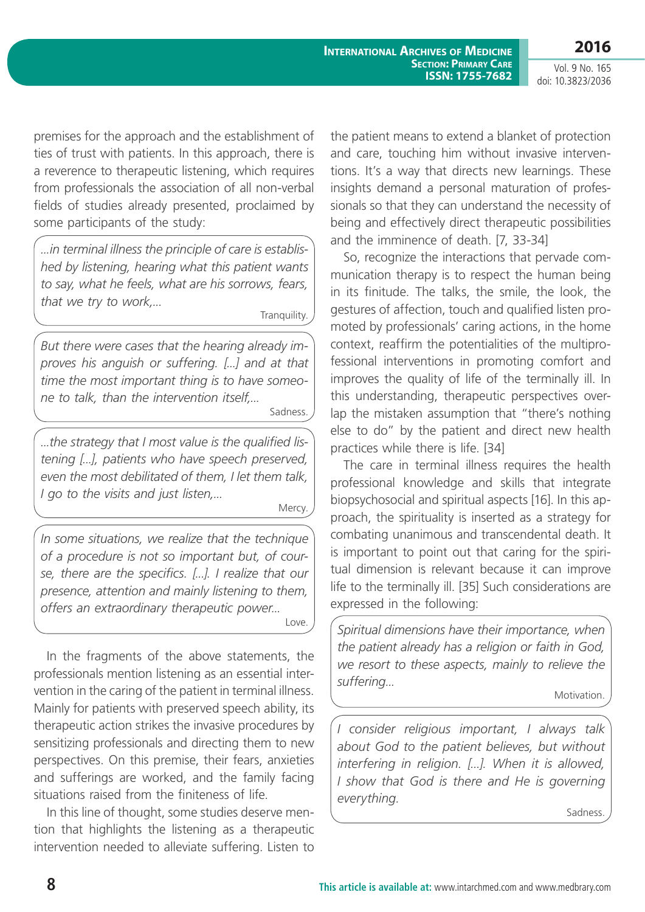**International Archives of Medicine Section: Primary Care ISSN: 1755-7682**

Vol. 9 No. 165 doi: 10.3823/2036

premises for the approach and the establishment of ties of trust with patients. In this approach, there is a reverence to therapeutic listening, which requires from professionals the association of all non-verbal fields of studies already presented, proclaimed by some participants of the study:

*...in terminal illness the principle of care is established by listening, hearing what this patient wants to say, what he feels, what are his sorrows, fears, that we try to work,...*

Tranquility.

*But there were cases that the hearing already improves his anguish or suffering. [...] and at that time the most important thing is to have someone to talk, than the intervention itself,...*

Sadness.

*...the strategy that I most value is the qualified listening [...], patients who have speech preserved, even the most debilitated of them, I let them talk, I go to the visits and just listen,...*

Mercy.

*In some situations, we realize that the technique of a procedure is not so important but, of course, there are the specifics. [...]. I realize that our presence, attention and mainly listening to them, offers an extraordinary therapeutic power...* Love.

In the fragments of the above statements, the professionals mention listening as an essential intervention in the caring of the patient in terminal illness. Mainly for patients with preserved speech ability, its therapeutic action strikes the invasive procedures by sensitizing professionals and directing them to new perspectives. On this premise, their fears, anxieties and sufferings are worked, and the family facing situations raised from the finiteness of life.

In this line of thought, some studies deserve mention that highlights the listening as a therapeutic intervention needed to alleviate suffering. Listen to

the patient means to extend a blanket of protection and care, touching him without invasive interventions. It's a way that directs new learnings. These insights demand a personal maturation of professionals so that they can understand the necessity of being and effectively direct therapeutic possibilities and the imminence of death. [7, 33-34]

So, recognize the interactions that pervade communication therapy is to respect the human being in its finitude. The talks, the smile, the look, the gestures of affection, touch and qualified listen promoted by professionals' caring actions, in the home context, reaffirm the potentialities of the multiprofessional interventions in promoting comfort and improves the quality of life of the terminally ill. In this understanding, therapeutic perspectives overlap the mistaken assumption that "there's nothing else to do" by the patient and direct new health practices while there is life. [34]

The care in terminal illness requires the health professional knowledge and skills that integrate biopsychosocial and spiritual aspects [16]. In this approach, the spirituality is inserted as a strategy for combating unanimous and transcendental death. It is important to point out that caring for the spiritual dimension is relevant because it can improve life to the terminally ill. [35] Such considerations are expressed in the following:

*Spiritual dimensions have their importance, when the patient already has a religion or faith in God, we resort to these aspects, mainly to relieve the suffering...*

Motivation.

*I consider religious important, I always talk about God to the patient believes, but without interfering in religion. [...]. When it is allowed, I show that God is there and He is governing everything.*

Sadness.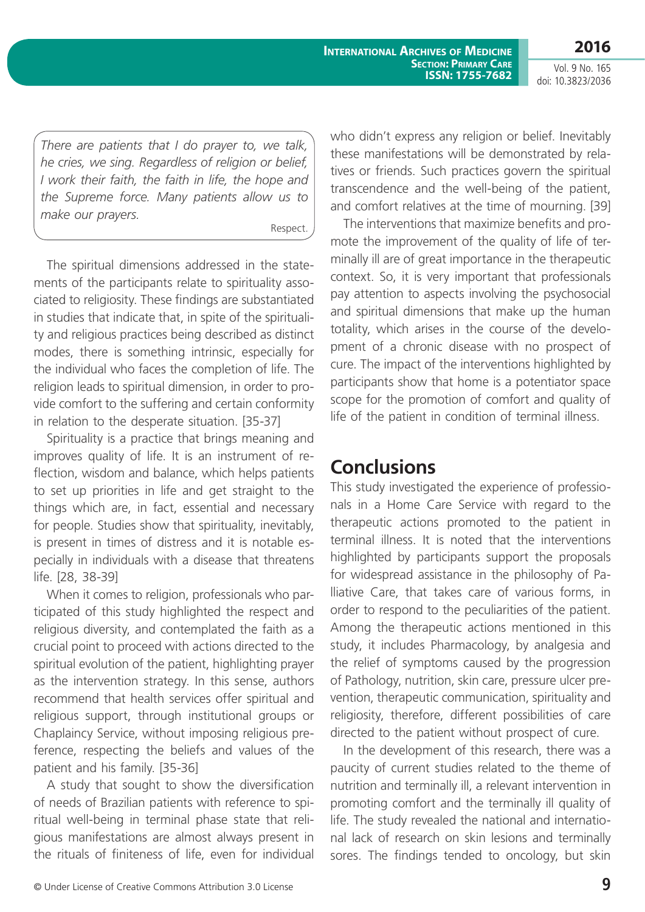Vol. 9 No. 165 doi: 10.3823/2036

*There are patients that I do prayer to, we talk, he cries, we sing. Regardless of religion or belief, I work their faith, the faith in life, the hope and the Supreme force. Many patients allow us to make our prayers.*

Respect.

The spiritual dimensions addressed in the statements of the participants relate to spirituality associated to religiosity. These findings are substantiated in studies that indicate that, in spite of the spirituality and religious practices being described as distinct modes, there is something intrinsic, especially for the individual who faces the completion of life. The religion leads to spiritual dimension, in order to provide comfort to the suffering and certain conformity in relation to the desperate situation. [35-37]

Spirituality is a practice that brings meaning and improves quality of life. It is an instrument of reflection, wisdom and balance, which helps patients to set up priorities in life and get straight to the things which are, in fact, essential and necessary for people. Studies show that spirituality, inevitably, is present in times of distress and it is notable especially in individuals with a disease that threatens life. [28, 38-39]

When it comes to religion, professionals who participated of this study highlighted the respect and religious diversity, and contemplated the faith as a crucial point to proceed with actions directed to the spiritual evolution of the patient, highlighting prayer as the intervention strategy. In this sense, authors recommend that health services offer spiritual and religious support, through institutional groups or Chaplaincy Service, without imposing religious preference, respecting the beliefs and values of the patient and his family. [35-36]

A study that sought to show the diversification of needs of Brazilian patients with reference to spiritual well-being in terminal phase state that religious manifestations are almost always present in the rituals of finiteness of life, even for individual who didn't express any religion or belief. Inevitably these manifestations will be demonstrated by relatives or friends. Such practices govern the spiritual transcendence and the well-being of the patient, and comfort relatives at the time of mourning. [39]

The interventions that maximize benefits and promote the improvement of the quality of life of terminally ill are of great importance in the therapeutic context. So, it is very important that professionals pay attention to aspects involving the psychosocial and spiritual dimensions that make up the human totality, which arises in the course of the development of a chronic disease with no prospect of cure. The impact of the interventions highlighted by participants show that home is a potentiator space scope for the promotion of comfort and quality of life of the patient in condition of terminal illness.

## **Conclusions**

This study investigated the experience of professionals in a Home Care Service with regard to the therapeutic actions promoted to the patient in terminal illness. It is noted that the interventions highlighted by participants support the proposals for widespread assistance in the philosophy of Palliative Care, that takes care of various forms, in order to respond to the peculiarities of the patient. Among the therapeutic actions mentioned in this study, it includes Pharmacology, by analgesia and the relief of symptoms caused by the progression of Pathology, nutrition, skin care, pressure ulcer prevention, therapeutic communication, spirituality and religiosity, therefore, different possibilities of care directed to the patient without prospect of cure.

In the development of this research, there was a paucity of current studies related to the theme of nutrition and terminally ill, a relevant intervention in promoting comfort and the terminally ill quality of life. The study revealed the national and international lack of research on skin lesions and terminally sores. The findings tended to oncology, but skin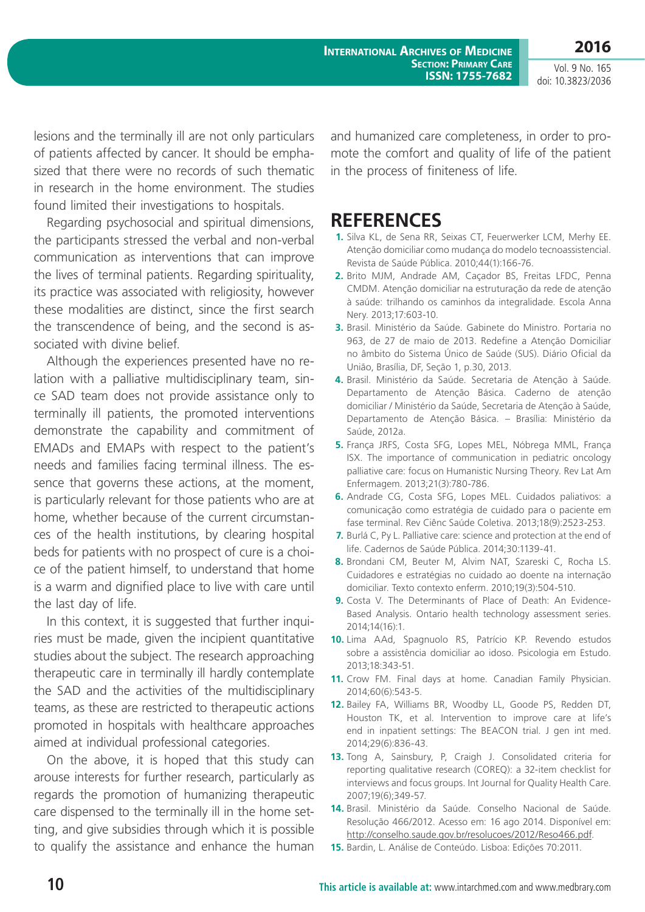**International Archives of Medicine Section: Primary Care ISSN: 1755-7682**

Vol. 9 No. 165 doi: 10.3823/2036

**2016**

lesions and the terminally ill are not only particulars of patients affected by cancer. It should be emphasized that there were no records of such thematic in research in the home environment. The studies found limited their investigations to hospitals.

Regarding psychosocial and spiritual dimensions, the participants stressed the verbal and non-verbal communication as interventions that can improve the lives of terminal patients. Regarding spirituality, its practice was associated with religiosity, however these modalities are distinct, since the first search the transcendence of being, and the second is associated with divine belief.

Although the experiences presented have no relation with a palliative multidisciplinary team, since SAD team does not provide assistance only to terminally ill patients, the promoted interventions demonstrate the capability and commitment of EMADs and EMAPs with respect to the patient's needs and families facing terminal illness. The essence that governs these actions, at the moment, is particularly relevant for those patients who are at home, whether because of the current circumstances of the health institutions, by clearing hospital beds for patients with no prospect of cure is a choice of the patient himself, to understand that home is a warm and dignified place to live with care until the last day of life.

In this context, it is suggested that further inquiries must be made, given the incipient quantitative studies about the subject. The research approaching therapeutic care in terminally ill hardly contemplate the SAD and the activities of the multidisciplinary teams, as these are restricted to therapeutic actions promoted in hospitals with healthcare approaches aimed at individual professional categories.

On the above, it is hoped that this study can arouse interests for further research, particularly as regards the promotion of humanizing therapeutic care dispensed to the terminally ill in the home setting, and give subsidies through which it is possible to qualify the assistance and enhance the human and humanized care completeness, in order to promote the comfort and quality of life of the patient in the process of finiteness of life.

### **REFERENCES**

- **1.** Silva KL, de Sena RR, Seixas CT, Feuerwerker LCM, Merhy EE. Atenção domiciliar como mudança do modelo tecnoassistencial. Revista de Saúde Pública. 2010;44(1):166-76.
- **2.** Brito MJM, Andrade AM, Caçador BS, Freitas LFDC, Penna CMDM. Atenção domiciliar na estruturação da rede de atenção à saúde: trilhando os caminhos da integralidade. Escola Anna Nery. 2013;17:603-10.
- **3.** Brasil. Ministério da Saúde. Gabinete do Ministro. Portaria no 963, de 27 de maio de 2013. Redefine a Atenção Domiciliar no âmbito do Sistema Único de Saúde (SUS). Diário Oficial da União, Brasília, DF, Seção 1, p.30, 2013.
- **4.** Brasil. Ministério da Saúde. Secretaria de Atenção à Saúde. Departamento de Atenção Básica. Caderno de atenção domiciliar / Ministério da Saúde, Secretaria de Atenção à Saúde, Departamento de Atenção Básica. – Brasília: Ministério da Saúde, 2012a.
- **5.** França JRFS, Costa SFG, Lopes MEL, Nóbrega MML, França ISX. The importance of communication in pediatric oncology palliative care: focus on Humanistic Nursing Theory. Rev Lat Am Enfermagem. 2013;21(3):780-786.
- **6.** Andrade CG, Costa SFG, Lopes MEL. Cuidados paliativos: a comunicação como estratégia de cuidado para o paciente em fase terminal. Rev Ciênc Saúde Coletiva. 2013;18(9):2523-253.
- **7.** Burlá C, Py L. Palliative care: science and protection at the end of life. Cadernos de Saúde Pública. 2014;30:1139-41.
- **8.** Brondani CM, Beuter M, Alvim NAT, Szareski C, Rocha LS. Cuidadores e estratégias no cuidado ao doente na internação domiciliar. Texto contexto enferm. 2010;19(3):504-510.
- **9.** Costa V. The Determinants of Place of Death: An Evidence-Based Analysis. Ontario health technology assessment series. 2014;14(16):1.
- **10.** Lima AAd, Spagnuolo RS, Patrício KP. Revendo estudos sobre a assistência domiciliar ao idoso. Psicologia em Estudo. 2013;18:343-51.
- **11.** Crow FM. Final days at home. Canadian Family Physician. 2014;60(6):543-5.
- **12.** Bailey FA, Williams BR, Woodby LL, Goode PS, Redden DT, Houston TK, et al. Intervention to improve care at life's end in inpatient settings: The BEACON trial. J gen int med. 2014;29(6):836-43.
- **13.** Tong A, Sainsbury, P, Craigh J. Consolidated criteria for reporting qualitative research (COREQ): a 32-item checklist for interviews and focus groups. Int Journal for Quality Health Care. 2007;19(6);349-57.
- **14.** Brasil. Ministério da Saúde. Conselho Nacional de Saúde. Resolução 466/2012. Acesso em: 16 ago 2014. Disponível em: <http://conselho.saude.gov.br/resolucoes/2012/Reso466.pdf>.
- **15.** Bardin, L. Análise de Conteúdo. Lisboa: Edições 70:2011.